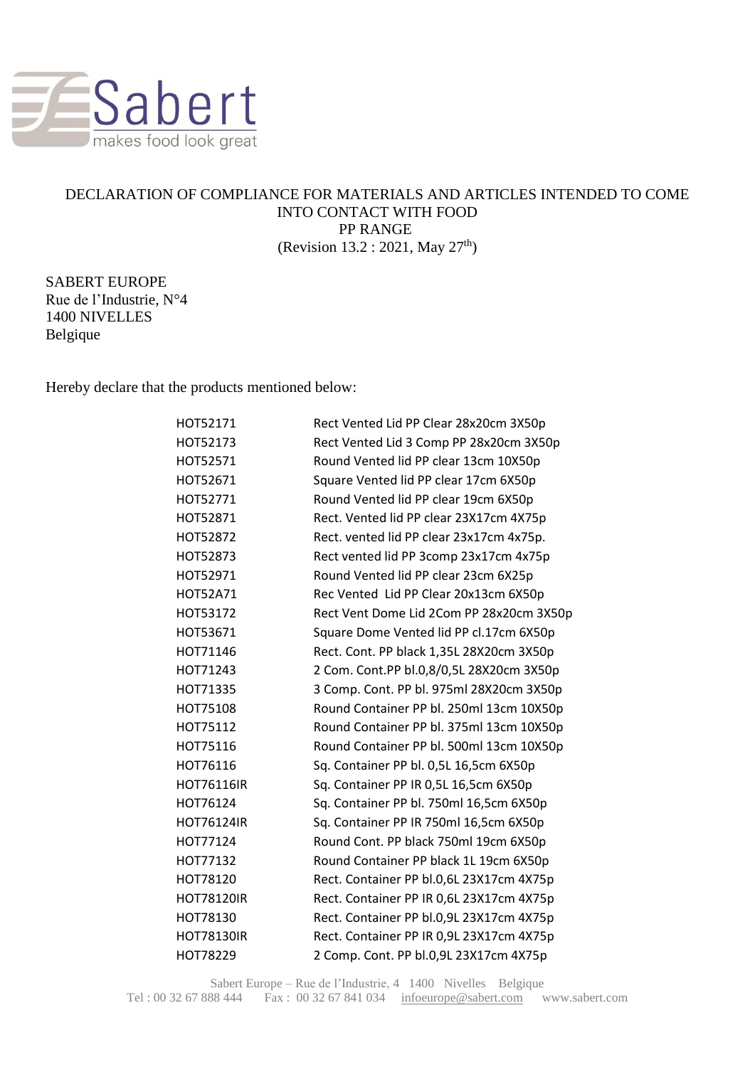

## DECLARATION OF COMPLIANCE FOR MATERIALS AND ARTICLES INTENDED TO COME INTO CONTACT WITH FOOD PP RANGE (Revision 13.2 : 2021, May 27th)

SABERT EUROPE Rue de l'Industrie, N°4 1400 NIVELLES Belgique

Hereby declare that the products mentioned below:

| HOT52171          | Rect Vented Lid PP Clear 28x20cm 3X50p   |
|-------------------|------------------------------------------|
| HOT52173          | Rect Vented Lid 3 Comp PP 28x20cm 3X50p  |
| HOT52571          | Round Vented lid PP clear 13cm 10X50p    |
| HOT52671          | Square Vented lid PP clear 17cm 6X50p    |
| HOT52771          | Round Vented lid PP clear 19cm 6X50p     |
| HOT52871          | Rect. Vented lid PP clear 23X17cm 4X75p  |
| HOT52872          | Rect. vented lid PP clear 23x17cm 4x75p. |
| HOT52873          | Rect vented lid PP 3comp 23x17cm 4x75p   |
| HOT52971          | Round Vented lid PP clear 23cm 6X25p     |
| <b>HOT52A71</b>   | Rec Vented Lid PP Clear 20x13cm 6X50p    |
| HOT53172          | Rect Vent Dome Lid 2Com PP 28x20cm 3X50p |
| HOT53671          | Square Dome Vented lid PP cl.17cm 6X50p  |
| HOT71146          | Rect. Cont. PP black 1,35L 28X20cm 3X50p |
| HOT71243          | 2 Com. Cont.PP bl.0,8/0,5L 28X20cm 3X50p |
| HOT71335          | 3 Comp. Cont. PP bl. 975ml 28X20cm 3X50p |
| HOT75108          | Round Container PP bl. 250ml 13cm 10X50p |
| HOT75112          | Round Container PP bl. 375ml 13cm 10X50p |
| HOT75116          | Round Container PP bl. 500ml 13cm 10X50p |
| HOT76116          | Sq. Container PP bl. 0,5L 16,5cm 6X50p   |
| HOT76116IR        | Sq. Container PP IR 0,5L 16,5cm 6X50p    |
| HOT76124          | Sq. Container PP bl. 750ml 16,5cm 6X50p  |
| <b>HOT76124IR</b> | Sq. Container PP IR 750ml 16,5cm 6X50p   |
| HOT77124          | Round Cont. PP black 750ml 19cm 6X50p    |
| HOT77132          | Round Container PP black 1L 19cm 6X50p   |
| HOT78120          | Rect. Container PP bl.0,6L 23X17cm 4X75p |
| <b>HOT78120IR</b> | Rect. Container PP IR 0,6L 23X17cm 4X75p |
| HOT78130          | Rect. Container PP bl.0,9L 23X17cm 4X75p |
| <b>HOT78130IR</b> | Rect. Container PP IR 0,9L 23X17cm 4X75p |
| HOT78229          | 2 Comp. Cont. PP bl.0,9L 23X17cm 4X75p   |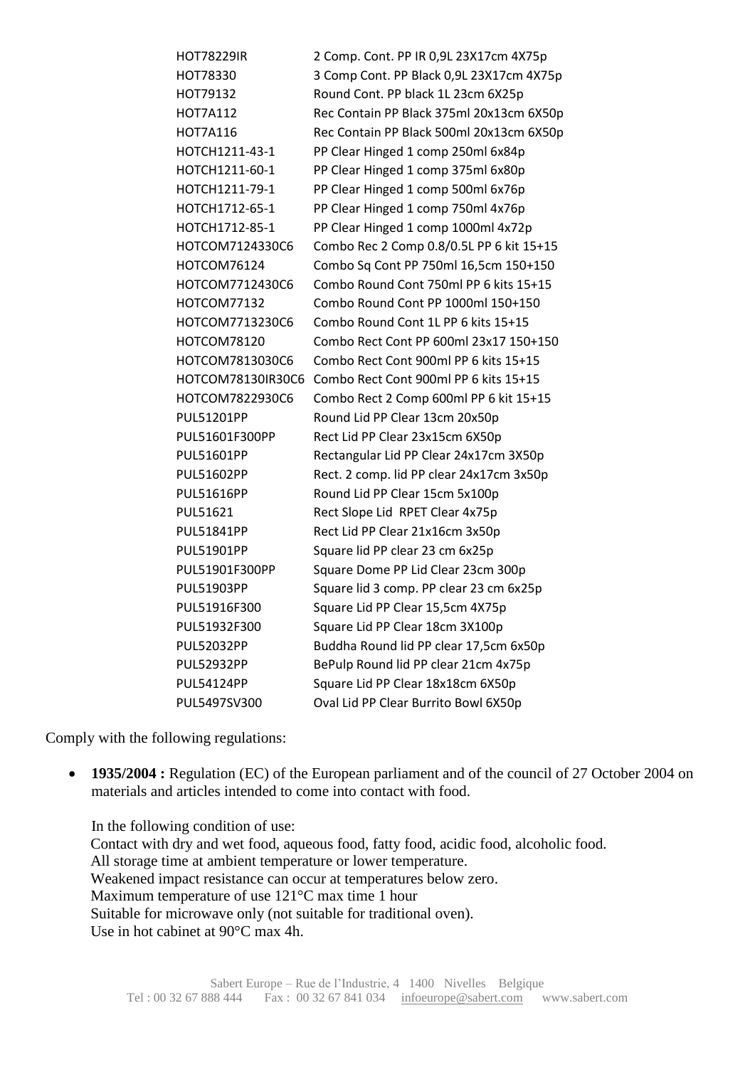| <b>HOT78229IR</b> | 2 Comp. Cont. PP IR 0,9L 23X17cm 4X75p   |
|-------------------|------------------------------------------|
| HOT78330          | 3 Comp Cont. PP Black 0,9L 23X17cm 4X75p |
| HOT79132          | Round Cont. PP black 1L 23cm 6X25p       |
| <b>HOT7A112</b>   | Rec Contain PP Black 375ml 20x13cm 6X50p |
| <b>HOT7A116</b>   | Rec Contain PP Black 500ml 20x13cm 6X50p |
| HOTCH1211-43-1    | PP Clear Hinged 1 comp 250ml 6x84p       |
| HOTCH1211-60-1    | PP Clear Hinged 1 comp 375ml 6x80p       |
| HOTCH1211-79-1    | PP Clear Hinged 1 comp 500ml 6x76p       |
| HOTCH1712-65-1    | PP Clear Hinged 1 comp 750ml 4x76p       |
| HOTCH1712-85-1    | PP Clear Hinged 1 comp 1000ml 4x72p      |
| HOTCOM7124330C6   | Combo Rec 2 Comp 0.8/0.5L PP 6 kit 15+15 |
| HOTCOM76124       | Combo Sq Cont PP 750ml 16,5cm 150+150    |
| HOTCOM7712430C6   | Combo Round Cont 750ml PP 6 kits 15+15   |
| HOTCOM77132       | Combo Round Cont PP 1000ml 150+150       |
| HOTCOM7713230C6   | Combo Round Cont 1L PP 6 kits 15+15      |
| HOTCOM78120       | Combo Rect Cont PP 600ml 23x17 150+150   |
| HOTCOM7813030C6   | Combo Rect Cont 900ml PP 6 kits 15+15    |
| HOTCOM78130IR30C6 | Combo Rect Cont 900ml PP 6 kits 15+15    |
| HOTCOM7822930C6   | Combo Rect 2 Comp 600ml PP 6 kit 15+15   |
| <b>PUL51201PP</b> | Round Lid PP Clear 13cm 20x50p           |
| PUL51601F300PP    | Rect Lid PP Clear 23x15cm 6X50p          |
| <b>PUL51601PP</b> | Rectangular Lid PP Clear 24x17cm 3X50p   |
| <b>PUL51602PP</b> | Rect. 2 comp. lid PP clear 24x17cm 3x50p |
| <b>PUL51616PP</b> | Round Lid PP Clear 15cm 5x100p           |
| PUL51621          | Rect Slope Lid RPET Clear 4x75p          |
| <b>PUL51841PP</b> | Rect Lid PP Clear 21x16cm 3x50p          |
| PUL51901PP        | Square lid PP clear 23 cm 6x25p          |
| PUL51901F300PP    | Square Dome PP Lid Clear 23cm 300p       |
| <b>PUL51903PP</b> | Square lid 3 comp. PP clear 23 cm 6x25p  |
| PUL51916F300      | Square Lid PP Clear 15,5cm 4X75p         |
| PUL51932F300      | Square Lid PP Clear 18cm 3X100p          |
| <b>PUL52032PP</b> | Buddha Round lid PP clear 17,5cm 6x50p   |
| <b>PUL52932PP</b> | BePulp Round lid PP clear 21cm 4x75p     |
| <b>PUL54124PP</b> | Square Lid PP Clear 18x18cm 6X50p        |
| PUL5497SV300      | Oval Lid PP Clear Burrito Bowl 6X50p     |

Comply with the following regulations:

• **1935/2004 :** Regulation (EC) of the European parliament and of the council of 27 October 2004 on materials and articles intended to come into contact with food.

In the following condition of use: Contact with dry and wet food, aqueous food, fatty food, acidic food, alcoholic food. All storage time at ambient temperature or lower temperature. Weakened impact resistance can occur at temperatures below zero. Maximum temperature of use 121°C max time 1 hour Suitable for microwave only (not suitable for traditional oven). Use in hot cabinet at 90°C max 4h.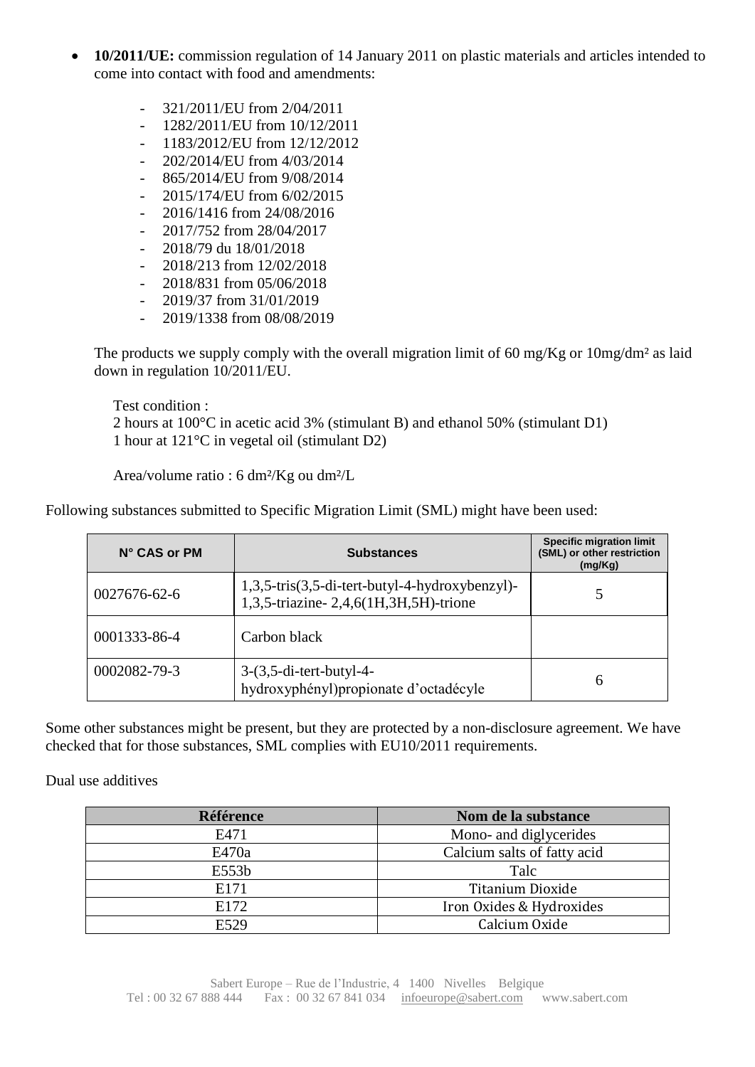- **10/2011/UE:** commission regulation of 14 January 2011 on plastic materials and articles intended to come into contact with food and amendments:
	- 321/2011/EU from 2/04/2011
	- 1282/2011/EU from 10/12/2011
	- 1183/2012/EU from 12/12/2012
	- 202/2014/EU from 4/03/2014
	- 865/2014/EU from 9/08/2014
	- 2015/174/EU from 6/02/2015
	- 2016/1416 from 24/08/2016
	- 2017/752 from 28/04/2017
	- 2018/79 du 18/01/2018
	- 2018/213 from 12/02/2018
	- 2018/831 from 05/06/2018
	- $-$  2019/37 from 31/01/2019
	- 2019/1338 from 08/08/2019

The products we supply comply with the overall migration limit of 60 mg/Kg or  $10$ mg/dm<sup>2</sup> as laid down in regulation 10/2011/EU.

Test condition : 2 hours at 100°C in acetic acid 3% (stimulant B) and ethanol 50% (stimulant D1) 1 hour at 121°C in vegetal oil (stimulant D2)

Area/volume ratio : 6 dm²/Kg ou dm²/L

| $N^{\circ}$ CAS or PM | <b>Substances</b>                                                                       | <b>Specific migration limit</b><br>(SML) or other restriction<br>(mg/Kg) |
|-----------------------|-----------------------------------------------------------------------------------------|--------------------------------------------------------------------------|
| 0027676-62-6          | 1,3,5-tris(3,5-di-tert-butyl-4-hydroxybenzyl)-<br>1,3,5-triazine-2,4,6(1H,3H,5H)-trione |                                                                          |
| 0001333-86-4          | Carbon black                                                                            |                                                                          |
| 0002082-79-3          | $3-(3,5-di-tert-butyl-4-$<br>hydroxyphényl) propionate d'octadécyle                     | 6                                                                        |

Following substances submitted to Specific Migration Limit (SML) might have been used:

Some other substances might be present, but they are protected by a non-disclosure agreement. We have checked that for those substances, SML complies with EU10/2011 requirements.

Dual use additives

| <b>Référence</b> | Nom de la substance         |
|------------------|-----------------------------|
| E471             | Mono- and diglycerides      |
| E470a            | Calcium salts of fatty acid |
| E553b            | Talc                        |
| E171             | Titanium Dioxide            |
| E172             | Iron Oxides & Hydroxides    |
| E529             | Calcium Oxide               |